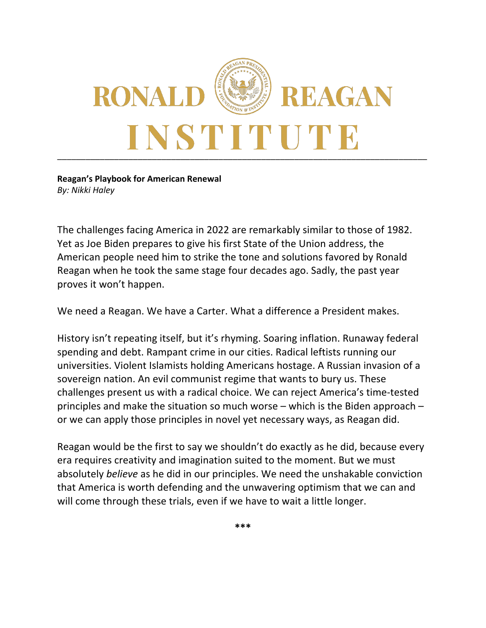

**Reagan's Playbook for American Renewal** *By: Nikki Haley*

The challenges facing America in 2022 are remarkably similar to those of 1982. Yet as Joe Biden prepares to give his first State of the Union address, the American people need him to strike the tone and solutions favored by Ronald Reagan when he took the same stage four decades ago. Sadly, the past year proves it won't happen.

We need a Reagan. We have a Carter. What a difference a President makes.

History isn't repeating itself, but it's rhyming. Soaring inflation. Runaway federal spending and debt. Rampant crime in our cities. Radical leftists running our universities. Violent Islamists holding Americans hostage. A Russian invasion of a sovereign nation. An evil communist regime that wants to bury us. These challenges present us with a radical choice. We can reject America's time-tested principles and make the situation so much worse – which is the Biden approach – or we can apply those principles in novel yet necessary ways, as Reagan did.

Reagan would be the first to say we shouldn't do exactly as he did, because every era requires creativity and imagination suited to the moment. But we must absolutely *believe* as he did in our principles. We need the unshakable conviction that America is worth defending and the unwavering optimism that we can and will come through these trials, even if we have to wait a little longer.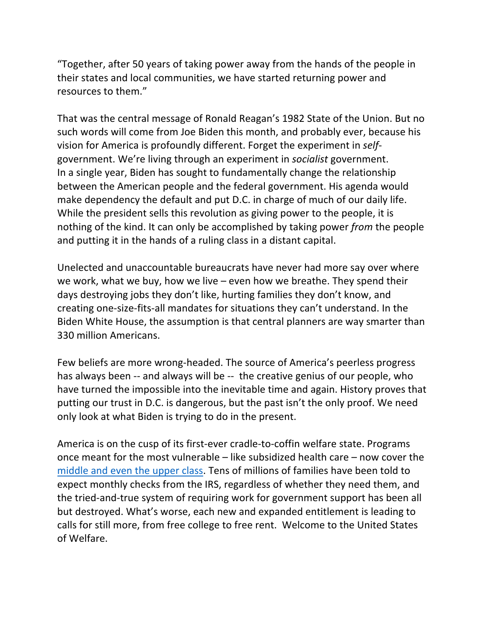"Together, after 50 years of taking power away from the hands of the people in their states and local communities, we have started returning power and resources to them."

That was the central message of Ronald Reagan's 1982 State of the Union. But no such words will come from Joe Biden this month, and probably ever, because his vision for America is profoundly different. Forget the experiment in *self*government. We're living through an experiment in *socialist* government. In a single year, Biden has sought to fundamentally change the relationship between the American people and the federal government. His agenda would make dependency the default and put D.C. in charge of much of our daily life. While the president sells this revolution as giving power to the people, it is nothing of the kind. It can only be accomplished by taking power *from* the people and putting it in the hands of a ruling class in a distant capital.

Unelected and unaccountable bureaucrats have never had more say over where we work, what we buy, how we live – even how we breathe. They spend their days destroying jobs they don't like, hurting families they don't know, and creating one-size-fits-all mandates for situations they can't understand. In the Biden White House, the assumption is that central planners are way smarter than 330 million Americans.

Few beliefs are more wrong-headed. The source of America's peerless progress has always been -- and always will be -- the creative genius of our people, who have turned the impossible into the inevitable time and again. History proves that putting our trust in D.C. is dangerous, but the past isn't the only proof. We need only look at what Biden is trying to do in the present.

America is on the cusp of its first-ever cradle-to-coffin welfare state. Programs once meant for the most vulnerable – like subsidized health care – now cover the middle and even the upper class. Tens of millions of families have been told to expect monthly checks from the IRS, regardless of whether they need them, and the tried-and-true system of requiring work for government support has been all but destroyed. What's worse, each new and expanded entitlement is leading to calls for still more, from free college to free rent. Welcome to the United States of Welfare.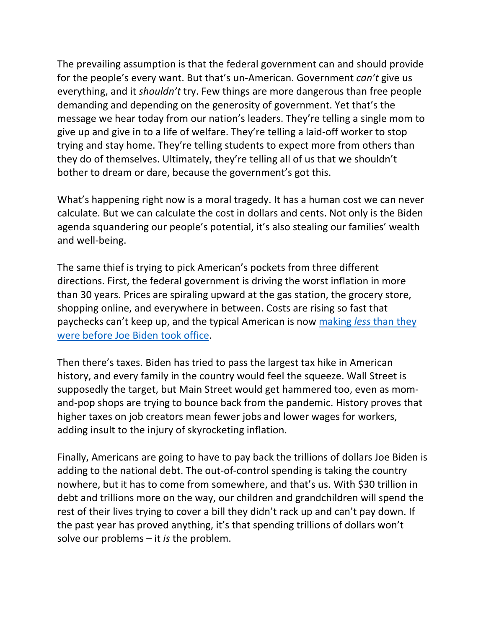The prevailing assumption is that the federal government can and should provide for the people's every want. But that's un-American. Government *can't* give us everything, and it *shouldn't* try. Few things are more dangerous than free people demanding and depending on the generosity of government. Yet that's the message we hear today from our nation's leaders. They're telling a single mom to give up and give in to a life of welfare. They're telling a laid-off worker to stop trying and stay home. They're telling students to expect more from others than they do of themselves. Ultimately, they're telling all of us that we shouldn't bother to dream or dare, because the government's got this.

What's happening right now is a moral tragedy. It has a human cost we can never calculate. But we can calculate the cost in dollars and cents. Not only is the Biden agenda squandering our people's potential, it's also stealing our families' wealth and well-being.

The same thief is trying to pick American's pockets from three different directions. First, the federal government is driving the worst inflation in more than 30 years. Prices are spiraling upward at the gas station, the grocery store, shopping online, and everywhere in between. Costs are rising so fast that paychecks can't keep up, and the typical American is now making *less* than they were before Joe Biden took office.

Then there's taxes. Biden has tried to pass the largest tax hike in American history, and every family in the country would feel the squeeze. Wall Street is supposedly the target, but Main Street would get hammered too, even as momand-pop shops are trying to bounce back from the pandemic. History proves that higher taxes on job creators mean fewer jobs and lower wages for workers, adding insult to the injury of skyrocketing inflation.

Finally, Americans are going to have to pay back the trillions of dollars Joe Biden is adding to the national debt. The out-of-control spending is taking the country nowhere, but it has to come from somewhere, and that's us. With \$30 trillion in debt and trillions more on the way, our children and grandchildren will spend the rest of their lives trying to cover a bill they didn't rack up and can't pay down. If the past year has proved anything, it's that spending trillions of dollars won't solve our problems – it *is* the problem.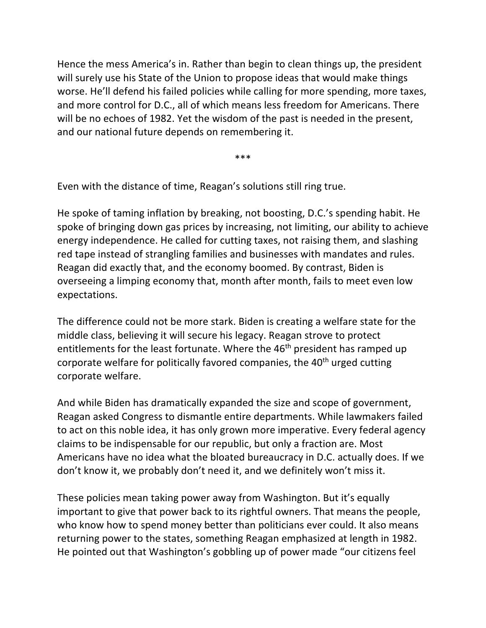Hence the mess America's in. Rather than begin to clean things up, the president will surely use his State of the Union to propose ideas that would make things worse. He'll defend his failed policies while calling for more spending, more taxes, and more control for D.C., all of which means less freedom for Americans. There will be no echoes of 1982. Yet the wisdom of the past is needed in the present, and our national future depends on remembering it.

\*\*\*

Even with the distance of time, Reagan's solutions still ring true.

He spoke of taming inflation by breaking, not boosting, D.C.'s spending habit. He spoke of bringing down gas prices by increasing, not limiting, our ability to achieve energy independence. He called for cutting taxes, not raising them, and slashing red tape instead of strangling families and businesses with mandates and rules. Reagan did exactly that, and the economy boomed. By contrast, Biden is overseeing a limping economy that, month after month, fails to meet even low expectations.

The difference could not be more stark. Biden is creating a welfare state for the middle class, believing it will secure his legacy. Reagan strove to protect entitlements for the least fortunate. Where the 46<sup>th</sup> president has ramped up corporate welfare for politically favored companies, the 40<sup>th</sup> urged cutting corporate welfare.

And while Biden has dramatically expanded the size and scope of government, Reagan asked Congress to dismantle entire departments. While lawmakers failed to act on this noble idea, it has only grown more imperative. Every federal agency claims to be indispensable for our republic, but only a fraction are. Most Americans have no idea what the bloated bureaucracy in D.C. actually does. If we don't know it, we probably don't need it, and we definitely won't miss it.

These policies mean taking power away from Washington. But it's equally important to give that power back to its rightful owners. That means the people, who know how to spend money better than politicians ever could. It also means returning power to the states, something Reagan emphasized at length in 1982. He pointed out that Washington's gobbling up of power made "our citizens feel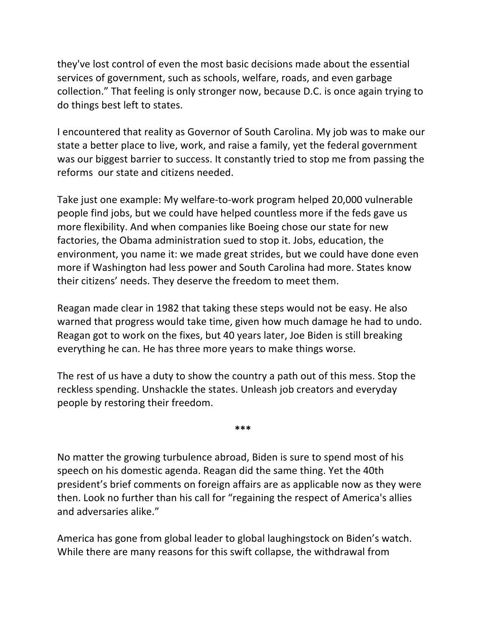they've lost control of even the most basic decisions made about the essential services of government, such as schools, welfare, roads, and even garbage collection." That feeling is only stronger now, because D.C. is once again trying to do things best left to states.

I encountered that reality as Governor of South Carolina. My job was to make our state a better place to live, work, and raise a family, yet the federal government was our biggest barrier to success. It constantly tried to stop me from passing the reforms our state and citizens needed.

Take just one example: My welfare-to-work program helped 20,000 vulnerable people find jobs, but we could have helped countless more if the feds gave us more flexibility. And when companies like Boeing chose our state for new factories, the Obama administration sued to stop it. Jobs, education, the environment, you name it: we made great strides, but we could have done even more if Washington had less power and South Carolina had more. States know their citizens' needs. They deserve the freedom to meet them.

Reagan made clear in 1982 that taking these steps would not be easy. He also warned that progress would take time, given how much damage he had to undo. Reagan got to work on the fixes, but 40 years later, Joe Biden is still breaking everything he can. He has three more years to make things worse.

The rest of us have a duty to show the country a path out of this mess. Stop the reckless spending. Unshackle the states. Unleash job creators and everyday people by restoring their freedom.

**\*\*\***

No matter the growing turbulence abroad, Biden is sure to spend most of his speech on his domestic agenda. Reagan did the same thing. Yet the 40th president's brief comments on foreign affairs are as applicable now as they were then. Look no further than his call for "regaining the respect of America's allies and adversaries alike."

America has gone from global leader to global laughingstock on Biden's watch. While there are many reasons for this swift collapse, the withdrawal from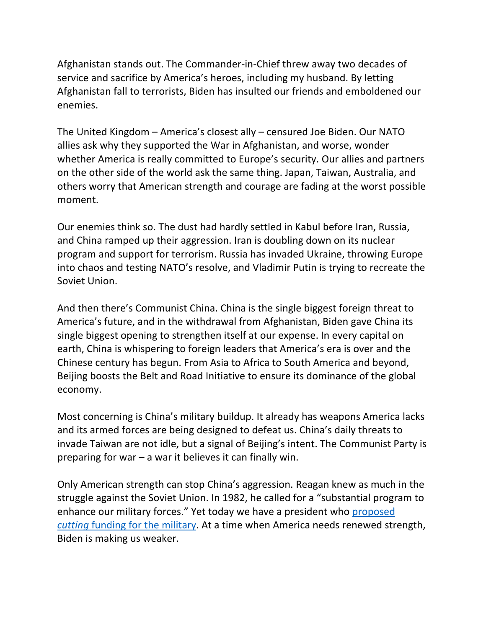Afghanistan stands out. The Commander-in-Chief threw away two decades of service and sacrifice by America's heroes, including my husband. By letting Afghanistan fall to terrorists, Biden has insulted our friends and emboldened our enemies.

The United Kingdom – America's closest ally – censured Joe Biden. Our NATO allies ask why they supported the War in Afghanistan, and worse, wonder whether America is really committed to Europe's security. Our allies and partners on the other side of the world ask the same thing. Japan, Taiwan, Australia, and others worry that American strength and courage are fading at the worst possible moment.

Our enemies think so. The dust had hardly settled in Kabul before Iran, Russia, and China ramped up their aggression. Iran is doubling down on its nuclear program and support for terrorism. Russia has invaded Ukraine, throwing Europe into chaos and testing NATO's resolve, and Vladimir Putin is trying to recreate the Soviet Union.

And then there's Communist China. China is the single biggest foreign threat to America's future, and in the withdrawal from Afghanistan, Biden gave China its single biggest opening to strengthen itself at our expense. In every capital on earth, China is whispering to foreign leaders that America's era is over and the Chinese century has begun. From Asia to Africa to South America and beyond, Beijing boosts the Belt and Road Initiative to ensure its dominance of the global economy.

Most concerning is China's military buildup. It already has weapons America lacks and its armed forces are being designed to defeat us. China's daily threats to invade Taiwan are not idle, but a signal of Beijing's intent. The Communist Party is preparing for war – a war it believes it can finally win.

Only American strength can stop China's aggression. Reagan knew as much in the struggle against the Soviet Union. In 1982, he called for a "substantial program to enhance our military forces." Yet today we have a president who proposed *cutting* funding for the military. At a time when America needs renewed strength, Biden is making us weaker.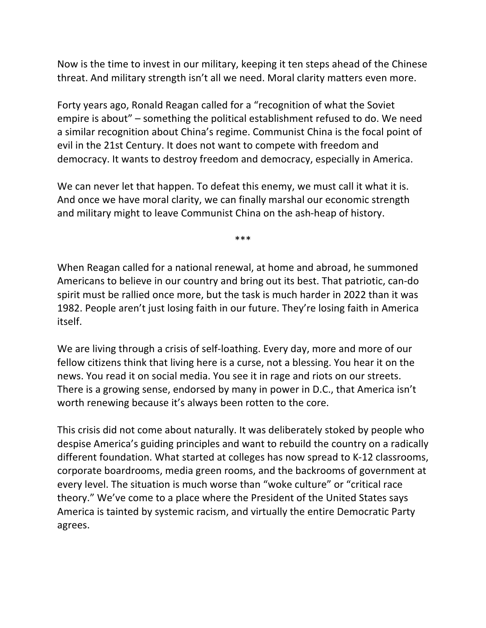Now is the time to invest in our military, keeping it ten steps ahead of the Chinese threat. And military strength isn't all we need. Moral clarity matters even more.

Forty years ago, Ronald Reagan called for a "recognition of what the Soviet empire is about" – something the political establishment refused to do. We need a similar recognition about China's regime. Communist China is the focal point of evil in the 21st Century. It does not want to compete with freedom and democracy. It wants to destroy freedom and democracy, especially in America.

We can never let that happen. To defeat this enemy, we must call it what it is. And once we have moral clarity, we can finally marshal our economic strength and military might to leave Communist China on the ash-heap of history.

\*\*\*

When Reagan called for a national renewal, at home and abroad, he summoned Americans to believe in our country and bring out its best. That patriotic, can-do spirit must be rallied once more, but the task is much harder in 2022 than it was 1982. People aren't just losing faith in our future. They're losing faith in America itself.

We are living through a crisis of self-loathing. Every day, more and more of our fellow citizens think that living here is a curse, not a blessing. You hear it on the news. You read it on social media. You see it in rage and riots on our streets. There is a growing sense, endorsed by many in power in D.C., that America isn't worth renewing because it's always been rotten to the core.

This crisis did not come about naturally. It was deliberately stoked by people who despise America's guiding principles and want to rebuild the country on a radically different foundation. What started at colleges has now spread to K-12 classrooms, corporate boardrooms, media green rooms, and the backrooms of government at every level. The situation is much worse than "woke culture" or "critical race theory." We've come to a place where the President of the United States says America is tainted by systemic racism, and virtually the entire Democratic Party agrees.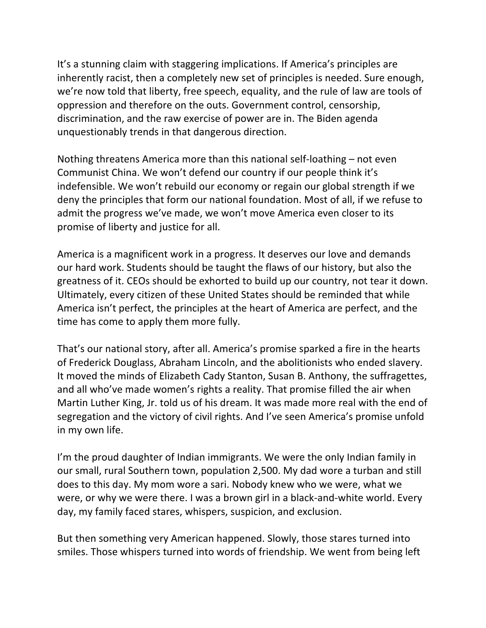It's a stunning claim with staggering implications. If America's principles are inherently racist, then a completely new set of principles is needed. Sure enough, we're now told that liberty, free speech, equality, and the rule of law are tools of oppression and therefore on the outs. Government control, censorship, discrimination, and the raw exercise of power are in. The Biden agenda unquestionably trends in that dangerous direction.

Nothing threatens America more than this national self-loathing – not even Communist China. We won't defend our country if our people think it's indefensible. We won't rebuild our economy or regain our global strength if we deny the principles that form our national foundation. Most of all, if we refuse to admit the progress we've made, we won't move America even closer to its promise of liberty and justice for all.

America is a magnificent work in a progress. It deserves our love and demands our hard work. Students should be taught the flaws of our history, but also the greatness of it. CEOs should be exhorted to build up our country, not tear it down. Ultimately, every citizen of these United States should be reminded that while America isn't perfect, the principles at the heart of America are perfect, and the time has come to apply them more fully.

That's our national story, after all. America's promise sparked a fire in the hearts of Frederick Douglass, Abraham Lincoln, and the abolitionists who ended slavery. It moved the minds of Elizabeth Cady Stanton, Susan B. Anthony, the suffragettes, and all who've made women's rights a reality. That promise filled the air when Martin Luther King, Jr. told us of his dream. It was made more real with the end of segregation and the victory of civil rights. And I've seen America's promise unfold in my own life.

I'm the proud daughter of Indian immigrants. We were the only Indian family in our small, rural Southern town, population 2,500. My dad wore a turban and still does to this day. My mom wore a sari. Nobody knew who we were, what we were, or why we were there. I was a brown girl in a black-and-white world. Every day, my family faced stares, whispers, suspicion, and exclusion.

But then something very American happened. Slowly, those stares turned into smiles. Those whispers turned into words of friendship. We went from being left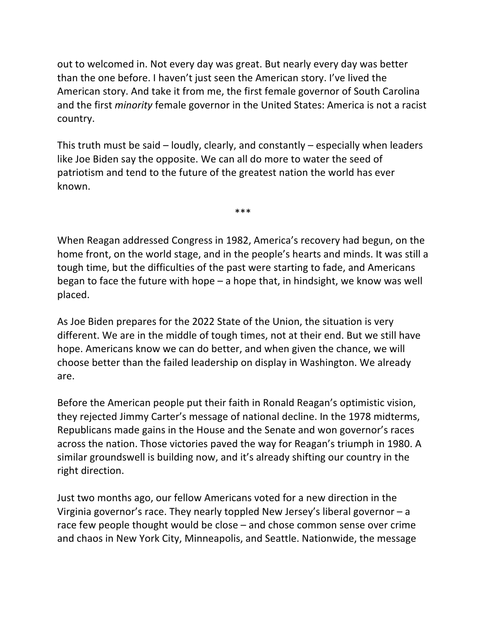out to welcomed in. Not every day was great. But nearly every day was better than the one before. I haven't just seen the American story. I've lived the American story. And take it from me, the first female governor of South Carolina and the first *minority* female governor in the United States: America is not a racist country.

This truth must be said – loudly, clearly, and constantly – especially when leaders like Joe Biden say the opposite. We can all do more to water the seed of patriotism and tend to the future of the greatest nation the world has ever known.

\*\*\*

When Reagan addressed Congress in 1982, America's recovery had begun, on the home front, on the world stage, and in the people's hearts and minds. It was still a tough time, but the difficulties of the past were starting to fade, and Americans began to face the future with hope – a hope that, in hindsight, we know was well placed.

As Joe Biden prepares for the 2022 State of the Union, the situation is very different. We are in the middle of tough times, not at their end. But we still have hope. Americans know we can do better, and when given the chance, we will choose better than the failed leadership on display in Washington. We already are.

Before the American people put their faith in Ronald Reagan's optimistic vision, they rejected Jimmy Carter's message of national decline. In the 1978 midterms, Republicans made gains in the House and the Senate and won governor's races across the nation. Those victories paved the way for Reagan's triumph in 1980. A similar groundswell is building now, and it's already shifting our country in the right direction.

Just two months ago, our fellow Americans voted for a new direction in the Virginia governor's race. They nearly toppled New Jersey's liberal governor – a race few people thought would be close – and chose common sense over crime and chaos in New York City, Minneapolis, and Seattle. Nationwide, the message